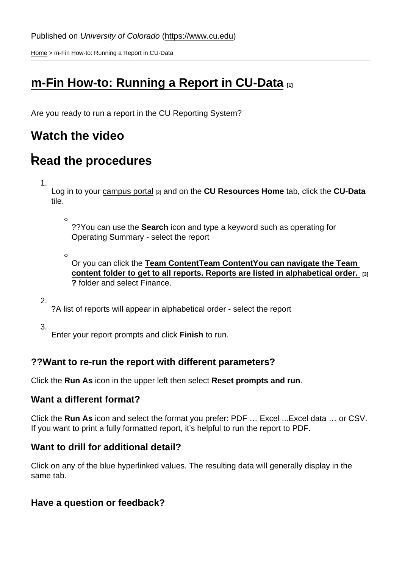[Home](https://www.cu.edu/) > m-Fin How-to: Running a Report in CU-Data

# [m-Fin How-to: Running a Report in CU-Data](https://www.cu.edu/controller/m-fin-how-running-report-cu-data) [1]

Are you ready to run a report in the CU Reporting System?

### Watch the video

# Read the procedures

1.

Log in to your [campus portal](https://my.cu.edu) [2] and on the CU Resources Home tab, click the CU-Data tile.

 $\circ$ 

??You can use the Search icon and type a keyword such as operating for Operating Summary - select the report

 $\circ$ 

Or you can click the [Team Content](https://www.cu.edu/) Team Content You can navigate the Team content folder to get to all reports. Reports are listed in alphabetical order. [3] ? folder and select Finance.

2.

?A list of reports will appear in alphabetical order - select the report

3.

Enter your report prompts and click Finish to run.

#### ??Want to re-run the report with different parameters?

Click the Run As icon in the upper left then select Reset prompts and run .

#### Want a different format?

Click the Run As icon and select the format you prefer: PDF … Excel ...Excel data … or CSV. If you want to print a fully formatted report, it's helpful to run the report to PDF.

Want to drill for additional detail?

Click on any of the blue hyperlinked values. The resulting data will generally display in the same tab.

Have a question or feedback?